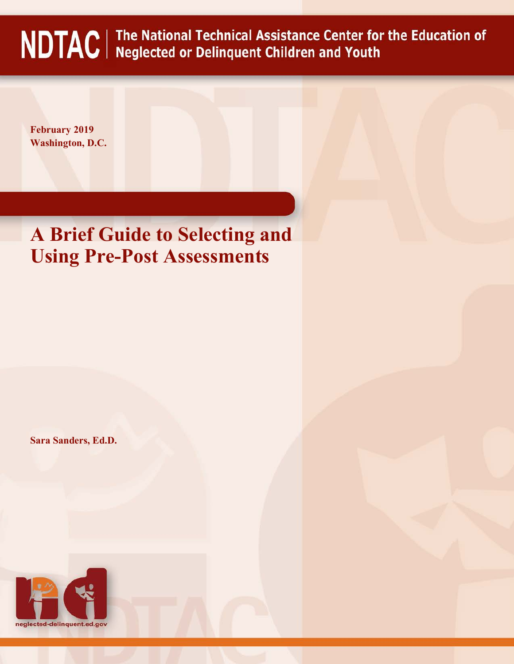# NDTAC | The National Technical Assistance Center for the Education of NDTAC | Neglected or Delinquent Children and Youth

**February 2019 Washington, D.C.**

# **A Brief Guide to Selecting and Using Pre-Post Assessments**

**Sara Sanders, Ed.D.** 

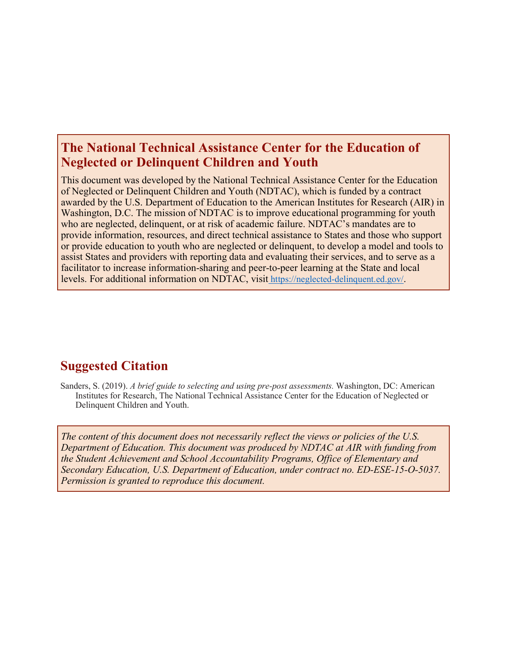# **The National Technical Assistance Center for the Education of Neglected or Delinquent Children and Youth**

This document was developed by the National Technical Assistance Center for the Education of Neglected or Delinquent Children and Youth (NDTAC), which is funded by a contract awarded by the U.S. Department of Education to the American Institutes for Research (AIR) in Washington, D.C. The mission of NDTAC is to improve educational programming for youth who are neglected, delinquent, or at risk of academic failure. NDTAC's mandates are to provide information, resources, and direct technical assistance to States and those who support or provide education to youth who are neglected or delinquent, to develop a model and tools to assist States and providers with reporting data and evaluating their services, and to serve as a facilitator to increase information-sharing and peer-to-peer learning at the State and local levels. For additional information on NDTAC, visit [https://neglected-delinquent.ed.gov/.](https://neglected-delinquent.ed.gov/)

# **Suggested Citation**

Sanders, S. (2019). *A brief guide to selecting and using pre-post assessments.* Washington, DC: American Institutes for Research, The National Technical Assistance Center for the Education of Neglected or Delinquent Children and Youth.

*The content of this document does not necessarily reflect the views or policies of the U.S. Department of Education. This document was produced by NDTAC at AIR with funding from the Student Achievement and School Accountability Programs, Office of Elementary and Secondary Education, U.S. Department of Education, under contract no. ED-ESE-15-O-5037. Permission is granted to reproduce this document.*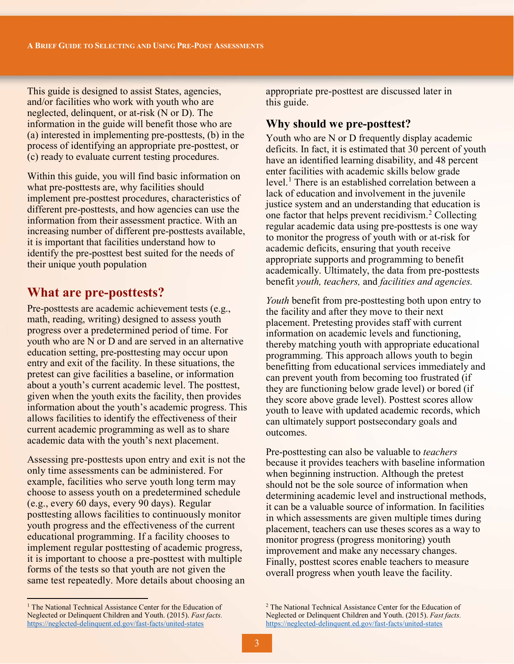This guide is designed to assist States, agencies, and/or facilities who work with youth who are neglected, delinquent, or at-risk (N or D). The information in the guide will benefit those who are (a) interested in implementing pre-posttests, (b) in the process of identifying an appropriate pre-posttest, or (c) ready to evaluate current testing procedures.

Within this guide, you will find basic information on what pre-posttests are, why facilities should implement pre-posttest procedures, characteristics of different pre-posttests, and how agencies can use the information from their assessment practice. With an increasing number of different pre-posttests available, it is important that facilities understand how to identify the pre-posttest best suited for the needs of their unique youth population

# **What are pre-posttests?**

Pre-posttests are academic achievement tests (e.g., math, reading, writing) designed to assess youth progress over a predetermined period of time. For youth who are N or D and are served in an alternative education setting, pre-posttesting may occur upon entry and exit of the facility. In these situations, the pretest can give facilities a baseline, or information about a youth's current academic level. The posttest, given when the youth exits the facility, then provides information about the youth's academic progress. This allows facilities to identify the effectiveness of their current academic programming as well as to share academic data with the youth's next placement.

Assessing pre-posttests upon entry and exit is not the only time assessments can be administered. For example, facilities who serve youth long term may choose to assess youth on a predetermined schedule (e.g., every 60 days, every 90 days). Regular posttesting allows facilities to continuously monitor youth progress and the effectiveness of the current educational programming. If a facility chooses to implement regular posttesting of academic progress, it is important to choose a pre-posttest with multiple forms of the tests so that youth are not given the same test repeatedly. More details about choosing an

<span id="page-2-0"></span><sup>1</sup> The National Technical Assistance Center for the Education of Neglected or Delinquent Children and Youth. (2015). *Fast facts.* <https://neglected-delinquent.ed.gov/fast-facts/united-states>

 $\overline{a}$ 

appropriate pre-posttest are discussed later in this guide.

# **Why should we pre-posttest?**

Youth who are N or D frequently display academic deficits. In fact, it is estimated that 30 percent of youth have an identified learning disability, and 48 percent enter facilities with academic skills below grade level.<sup>1</sup> There is an established correlation between a lack of education and involvement in the juvenile justice system and an understanding that education is one factor that helps prevent recidivism.[2](#page-2-0) Collecting regular academic data using pre-posttests is one way to monitor the progress of youth with or at-risk for academic deficits, ensuring that youth receive appropriate supports and programming to benefit academically. Ultimately, the data from pre-posttests benefit *youth, teachers,* and *facilities and agencies.* 

*Youth* benefit from pre-posttesting both upon entry to the facility and after they move to their next placement. Pretesting provides staff with current information on academic levels and functioning, thereby matching youth with appropriate educational programming. This approach allows youth to begin benefitting from educational services immediately and can prevent youth from becoming too frustrated (if they are functioning below grade level) or bored (if they score above grade level). Posttest scores allow youth to leave with updated academic records, which can ultimately support postsecondary goals and outcomes.

Pre-posttesting can also be valuable to *teachers* because it provides teachers with baseline information when beginning instruction. Although the pretest should not be the sole source of information when determining academic level and instructional methods, it can be a valuable source of information. In facilities in which assessments are given multiple times during placement, teachers can use theses scores as a way to monitor progress (progress monitoring) youth improvement and make any necessary changes. Finally, posttest scores enable teachers to measure overall progress when youth leave the facility.

<sup>2</sup> The National Technical Assistance Center for the Education of Neglected or Delinquent Children and Youth. (2015). *Fast facts.* <https://neglected-delinquent.ed.gov/fast-facts/united-states>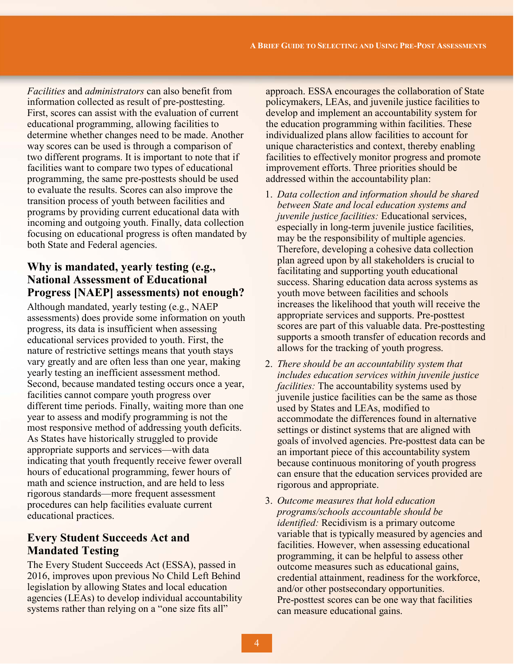*Facilities* and *administrators* can also benefit from information collected as result of pre-posttesting. First, scores can assist with the evaluation of current educational programming, allowing facilities to determine whether changes need to be made. Another way scores can be used is through a comparison of two different programs. It is important to note that if facilities want to compare two types of educational programming, the same pre-posttests should be used to evaluate the results. Scores can also improve the transition process of youth between facilities and programs by providing current educational data with incoming and outgoing youth. Finally, data collection focusing on educational progress is often mandated by both State and Federal agencies.

# **Why is mandated, yearly testing (e.g., National Assessment of Educational Progress [NAEP] assessments) not enough?**

Although mandated, yearly testing (e.g., NAEP assessments) does provide some information on youth progress, its data is insufficient when assessing educational services provided to youth. First, the nature of restrictive settings means that youth stays vary greatly and are often less than one year, making yearly testing an inefficient assessment method. Second, because mandated testing occurs once a year, facilities cannot compare youth progress over different time periods. Finally, waiting more than one year to assess and modify programming is not the most responsive method of addressing youth deficits. As States have historically struggled to provide appropriate supports and services—with data indicating that youth frequently receive fewer overall hours of educational programming, fewer hours of math and science instruction, and are held to less rigorous standards—more frequent assessment procedures can help facilities evaluate current educational practices.

# **Every Student Succeeds Act and Mandated Testing**

The Every Student Succeeds Act (ESSA), passed in 2016, improves upon previous No Child Left Behind legislation by allowing States and local education agencies (LEAs) to develop individual accountability systems rather than relying on a "one size fits all"

approach. ESSA encourages the collaboration of State policymakers, LEAs, and juvenile justice facilities to develop and implement an accountability system for the education programming within facilities. These individualized plans allow facilities to account for unique characteristics and context, thereby enabling facilities to effectively monitor progress and promote improvement efforts. Three priorities should be addressed within the accountability plan:

- 1. *Data collection and information should be shared between State and local education systems and juvenile justice facilities:* Educational services, especially in long-term juvenile justice facilities, may be the responsibility of multiple agencies. Therefore, developing a cohesive data collection plan agreed upon by all stakeholders is crucial to facilitating and supporting youth educational success. Sharing education data across systems as youth move between facilities and schools increases the likelihood that youth will receive the appropriate services and supports. Pre-posttest scores are part of this valuable data. Pre-posttesting supports a smooth transfer of education records and allows for the tracking of youth progress.
- 2. *There should be an accountability system that includes education services within juvenile justice facilities:* The accountability systems used by juvenile justice facilities can be the same as those used by States and LEAs, modified to accommodate the differences found in alternative settings or distinct systems that are aligned with goals of involved agencies. Pre-posttest data can be an important piece of this accountability system because continuous monitoring of youth progress can ensure that the education services provided are rigorous and appropriate.
- 3. *Outcome measures that hold education programs/schools accountable should be identified:* Recidivism is a primary outcome variable that is typically measured by agencies and facilities. However, when assessing educational programming, it can be helpful to assess other outcome measures such as educational gains, credential attainment, readiness for the workforce, and/or other postsecondary opportunities. Pre-posttest scores can be one way that facilities can measure educational gains.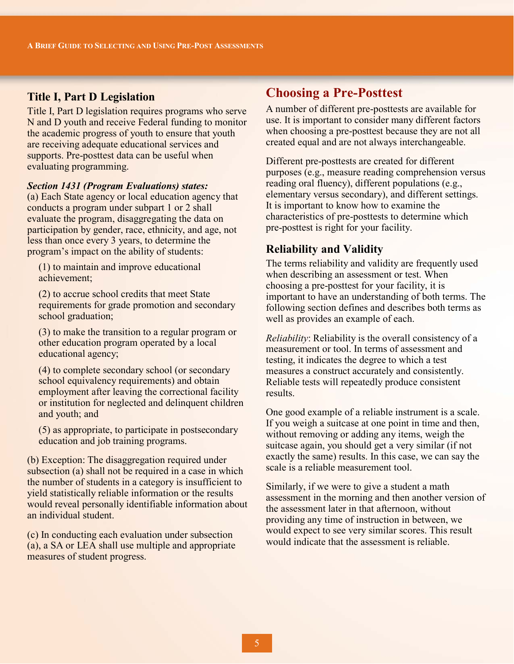# **Title I, Part D Legislation**

Title I, Part D legislation requires programs who serve N and D youth and receive Federal funding to monitor the academic progress of youth to ensure that youth are receiving adequate educational services and supports. Pre-posttest data can be useful when evaluating programming.

#### *Section 1431 (Program Evaluations) states:*

(a) Each State agency or local education agency that conducts a program under subpart 1 or 2 shall evaluate the program, disaggregating the data on participation by gender, race, ethnicity, and age, not less than once every 3 years, to determine the program's impact on the ability of students:

(1) to maintain and improve educational achievement;

(2) to accrue school credits that meet State requirements for grade promotion and secondary school graduation;

(3) to make the transition to a regular program or other education program operated by a local educational agency;

(4) to complete secondary school (or secondary school equivalency requirements) and obtain employment after leaving the correctional facility or institution for neglected and delinquent children and youth; and

(5) as appropriate, to participate in postsecondary education and job training programs.

(b) Exception: The disaggregation required under subsection (a) shall not be required in a case in which the number of students in a category is insufficient to yield statistically reliable information or the results would reveal personally identifiable information about an individual student.

(c) In conducting each evaluation under subsection (a), a SA or LEA shall use multiple and appropriate measures of student progress.

# **Choosing a Pre-Posttest**

A number of different pre-posttests are available for use. It is important to consider many different factors when choosing a pre-posttest because they are not all created equal and are not always interchangeable.

Different pre-posttests are created for different purposes (e.g., measure reading comprehension versus reading oral fluency), different populations (e.g., elementary versus secondary), and different settings. It is important to know how to examine the characteristics of pre-posttests to determine which pre-posttest is right for your facility.

## **Reliability and Validity**

The terms reliability and validity are frequently used when describing an assessment or test. When choosing a pre-posttest for your facility, it is important to have an understanding of both terms. The following section defines and describes both terms as well as provides an example of each.

*Reliability*: Reliability is the overall consistency of a measurement or tool. In terms of assessment and testing, it indicates the degree to which a test measures a construct accurately and consistently. Reliable tests will repeatedly produce consistent results.

One good example of a reliable instrument is a scale. If you weigh a suitcase at one point in time and then, without removing or adding any items, weigh the suitcase again, you should get a very similar (if not exactly the same) results. In this case, we can say the scale is a reliable measurement tool.

Similarly, if we were to give a student a math assessment in the morning and then another version of the assessment later in that afternoon, without providing any time of instruction in between, we would expect to see very similar scores. This result would indicate that the assessment is reliable.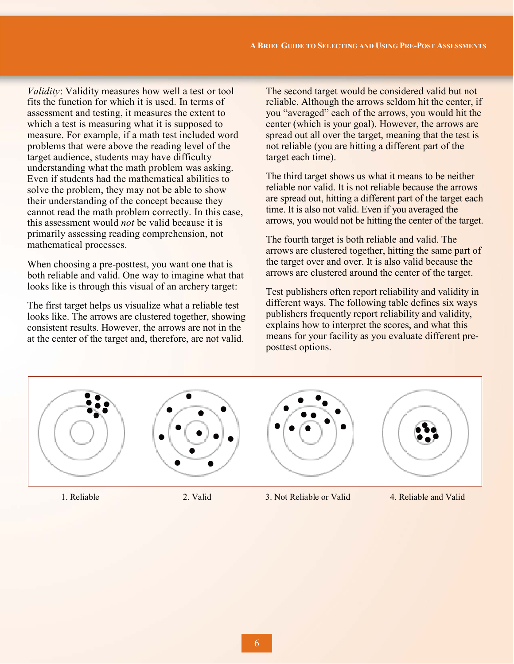*Validity*: Validity measures how well a test or tool fits the function for which it is used. In terms of assessment and testing, it measures the extent to which a test is measuring what it is supposed to measure. For example, if a math test included word problems that were above the reading level of the target audience, students may have difficulty understanding what the math problem was asking. Even if students had the mathematical abilities to solve the problem, they may not be able to show their understanding of the concept because they cannot read the math problem correctly. In this case, this assessment would *not* be valid because it is primarily assessing reading comprehension, not mathematical processes.

When choosing a pre-posttest, you want one that is both reliable and valid. One way to imagine what that looks like is through this visual of an archery target:

The first target helps us visualize what a reliable test looks like. The arrows are clustered together, showing consistent results. However, the arrows are not in the at the center of the target and, therefore, are not valid.

The second target would be considered valid but not reliable. Although the arrows seldom hit the center, if you "averaged" each of the arrows, you would hit the center (which is your goal). However, the arrows are spread out all over the target, meaning that the test is not reliable (you are hitting a different part of the target each time).

The third target shows us what it means to be neither reliable nor valid. It is not reliable because the arrows are spread out, hitting a different part of the target each time. It is also not valid. Even if you averaged the arrows, you would not be hitting the center of the target.

The fourth target is both reliable and valid. The arrows are clustered together, hitting the same part of the target over and over. It is also valid because the arrows are clustered around the center of the target.

Test publishers often report reliability and validity in different ways. The following table defines six ways publishers frequently report reliability and validity, explains how to interpret the scores, and what this means for your facility as you evaluate different preposttest options.



1. Reliable 2. Valid 3. Not Reliable or Valid 4. Reliable and Valid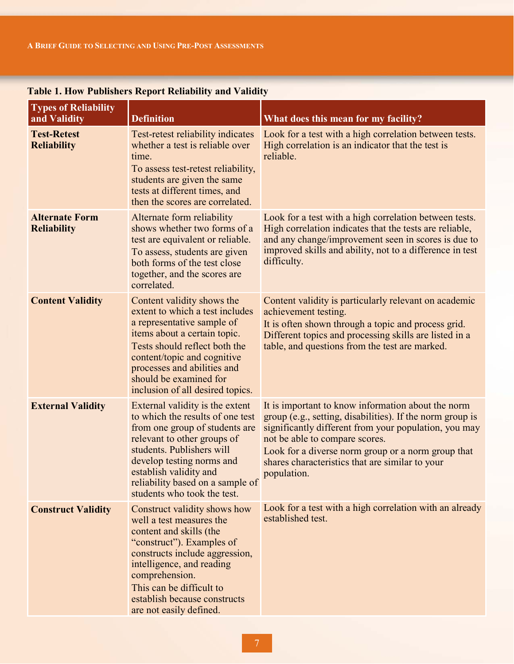| <b>Types of Reliability</b><br>and Validity | <b>Definition</b>                                                                                                                                                                                                                                                                           | What does this mean for my facility?                                                                                                                                                                                                                                                                                               |
|---------------------------------------------|---------------------------------------------------------------------------------------------------------------------------------------------------------------------------------------------------------------------------------------------------------------------------------------------|------------------------------------------------------------------------------------------------------------------------------------------------------------------------------------------------------------------------------------------------------------------------------------------------------------------------------------|
| <b>Test-Retest</b><br><b>Reliability</b>    | Test-retest reliability indicates<br>whether a test is reliable over<br>time.<br>To assess test-retest reliability,<br>students are given the same<br>tests at different times, and<br>then the scores are correlated.                                                                      | Look for a test with a high correlation between tests.<br>High correlation is an indicator that the test is<br>reliable.                                                                                                                                                                                                           |
| <b>Alternate Form</b><br><b>Reliability</b> | Alternate form reliability<br>shows whether two forms of a<br>test are equivalent or reliable.<br>To assess, students are given<br>both forms of the test close<br>together, and the scores are<br>correlated.                                                                              | Look for a test with a high correlation between tests.<br>High correlation indicates that the tests are reliable,<br>and any change/improvement seen in scores is due to<br>improved skills and ability, not to a difference in test<br>difficulty.                                                                                |
| <b>Content Validity</b>                     | Content validity shows the<br>extent to which a test includes<br>a representative sample of<br>items about a certain topic.<br>Tests should reflect both the<br>content/topic and cognitive<br>processes and abilities and<br>should be examined for<br>inclusion of all desired topics.    | Content validity is particularly relevant on academic<br>achievement testing.<br>It is often shown through a topic and process grid.<br>Different topics and processing skills are listed in a<br>table, and questions from the test are marked.                                                                                   |
| <b>External Validity</b>                    | External validity is the extent<br>to which the results of one test<br>from one group of students are<br>relevant to other groups of<br>students. Publishers will<br>develop testing norms and<br>establish validity and<br>reliability based on a sample of<br>students who took the test. | It is important to know information about the norm<br>group (e.g., setting, disabilities). If the norm group is<br>significantly different from your population, you may<br>not be able to compare scores.<br>Look for a diverse norm group or a norm group that<br>shares characteristics that are similar to your<br>population. |
| <b>Construct Validity</b>                   | Construct validity shows how<br>well a test measures the<br>content and skills (the<br>"construct"). Examples of<br>constructs include aggression,<br>intelligence, and reading<br>comprehension.<br>This can be difficult to<br>establish because constructs<br>are not easily defined.    | Look for a test with a high correlation with an already<br>established test.                                                                                                                                                                                                                                                       |

# **Table 1. How Publishers Report Reliability and Validity**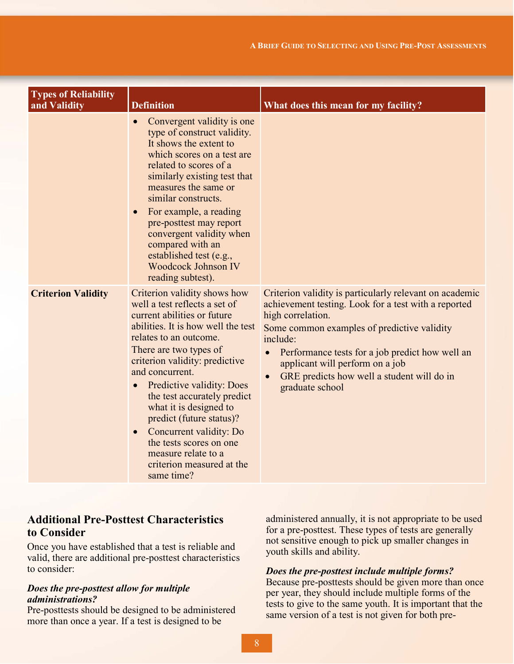| <b>Types of Reliability</b><br>and Validity | <b>Definition</b>                                                                                                                                                                                                                                                                                                                                                                                                                                                                                               | What does this mean for my facility?                                                                                                                                                                                                                                                                                                                   |  |  |
|---------------------------------------------|-----------------------------------------------------------------------------------------------------------------------------------------------------------------------------------------------------------------------------------------------------------------------------------------------------------------------------------------------------------------------------------------------------------------------------------------------------------------------------------------------------------------|--------------------------------------------------------------------------------------------------------------------------------------------------------------------------------------------------------------------------------------------------------------------------------------------------------------------------------------------------------|--|--|
|                                             | Convergent validity is one<br>$\bullet$<br>type of construct validity.<br>It shows the extent to<br>which scores on a test are<br>related to scores of a<br>similarly existing test that<br>measures the same or<br>similar constructs.<br>For example, a reading<br>$\bullet$<br>pre-posttest may report<br>convergent validity when<br>compared with an<br>established test (e.g.,<br><b>Woodcock Johnson IV</b><br>reading subtest).                                                                         |                                                                                                                                                                                                                                                                                                                                                        |  |  |
| <b>Criterion Validity</b>                   | Criterion validity shows how<br>well a test reflects a set of<br>current abilities or future<br>abilities. It is how well the test<br>relates to an outcome.<br>There are two types of<br>criterion validity: predictive<br>and concurrent.<br>Predictive validity: Does<br>$\bullet$<br>the test accurately predict<br>what it is designed to<br>predict (future status)?<br>Concurrent validity: Do<br>$\bullet$<br>the tests scores on one<br>measure relate to a<br>criterion measured at the<br>same time? | Criterion validity is particularly relevant on academic<br>achievement testing. Look for a test with a reported<br>high correlation.<br>Some common examples of predictive validity<br>include:<br>Performance tests for a job predict how well an<br>applicant will perform on a job<br>GRE predicts how well a student will do in<br>graduate school |  |  |

# **Additional Pre-Posttest Characteristics to Consider**

Once you have established that a test is reliable and valid, there are additional pre-posttest characteristics to consider:

#### *Does the pre-posttest allow for multiple administrations?*

Pre-posttests should be designed to be administered more than once a year. If a test is designed to be

administered annually, it is not appropriate to be used for a pre-posttest. These types of tests are generally not sensitive enough to pick up smaller changes in youth skills and ability.

#### *Does the pre-posttest include multiple forms?*

Because pre-posttests should be given more than once per year, they should include multiple forms of the tests to give to the same youth. It is important that the same version of a test is not given for both pre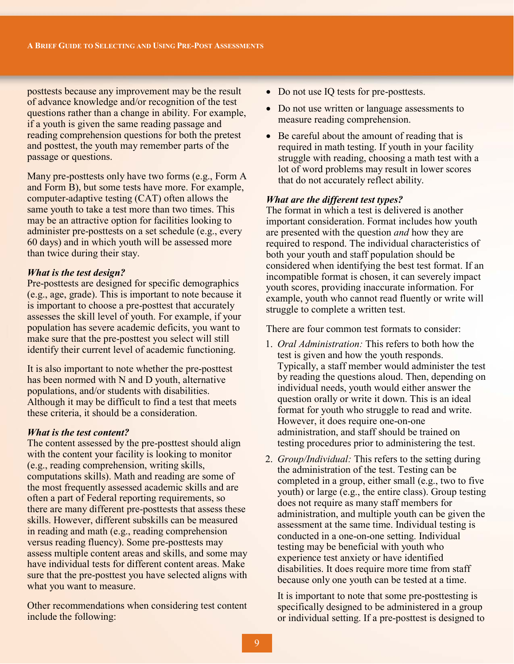posttests because any improvement may be the result of advance knowledge and/or recognition of the test questions rather than a change in ability. For example, if a youth is given the same reading passage and reading comprehension questions for both the pretest and posttest, the youth may remember parts of the passage or questions.

Many pre-posttests only have two forms (e.g., Form A and Form B), but some tests have more. For example, computer-adaptive testing (CAT) often allows the same youth to take a test more than two times. This may be an attractive option for facilities looking to administer pre-posttests on a set schedule (e.g., every 60 days) and in which youth will be assessed more than twice during their stay.

## *What is the test design?*

Pre-posttests are designed for specific demographics (e.g., age, grade). This is important to note because it is important to choose a pre-posttest that accurately assesses the skill level of youth. For example, if your population has severe academic deficits, you want to make sure that the pre-posttest you select will still identify their current level of academic functioning.

It is also important to note whether the pre-posttest has been normed with N and D youth, alternative populations, and/or students with disabilities. Although it may be difficult to find a test that meets these criteria, it should be a consideration.

#### *What is the test content?*

The content assessed by the pre-posttest should align with the content your facility is looking to monitor (e.g., reading comprehension, writing skills, computations skills). Math and reading are some of the most frequently assessed academic skills and are often a part of Federal reporting requirements, so there are many different pre-posttests that assess these skills. However, different subskills can be measured in reading and math (e.g., reading comprehension versus reading fluency). Some pre-posttests may assess multiple content areas and skills, and some may have individual tests for different content areas. Make sure that the pre-posttest you have selected aligns with what you want to measure.

Other recommendations when considering test content include the following:

- Do not use IQ tests for pre-posttests.
- Do not use written or language assessments to measure reading comprehension.
- Be careful about the amount of reading that is required in math testing. If youth in your facility struggle with reading, choosing a math test with a lot of word problems may result in lower scores that do not accurately reflect ability.

#### *What are the different test types?*

The format in which a test is delivered is another important consideration. Format includes how youth are presented with the question *and* how they are required to respond. The individual characteristics of both your youth and staff population should be considered when identifying the best test format. If an incompatible format is chosen, it can severely impact youth scores, providing inaccurate information. For example, youth who cannot read fluently or write will struggle to complete a written test.

There are four common test formats to consider:

- 1. *Oral Administration:* This refers to both how the test is given and how the youth responds. Typically, a staff member would administer the test by reading the questions aloud. Then, depending on individual needs, youth would either answer the question orally or write it down. This is an ideal format for youth who struggle to read and write. However, it does require one-on-one administration, and staff should be trained on testing procedures prior to administering the test.
- 2. *Group/Individual:* This refers to the setting during the administration of the test. Testing can be completed in a group, either small (e.g., two to five youth) or large (e.g., the entire class). Group testing does not require as many staff members for administration, and multiple youth can be given the assessment at the same time. Individual testing is conducted in a one-on-one setting. Individual testing may be beneficial with youth who experience test anxiety or have identified disabilities. It does require more time from staff because only one youth can be tested at a time.

It is important to note that some pre-posttesting is specifically designed to be administered in a group or individual setting. If a pre-posttest is designed to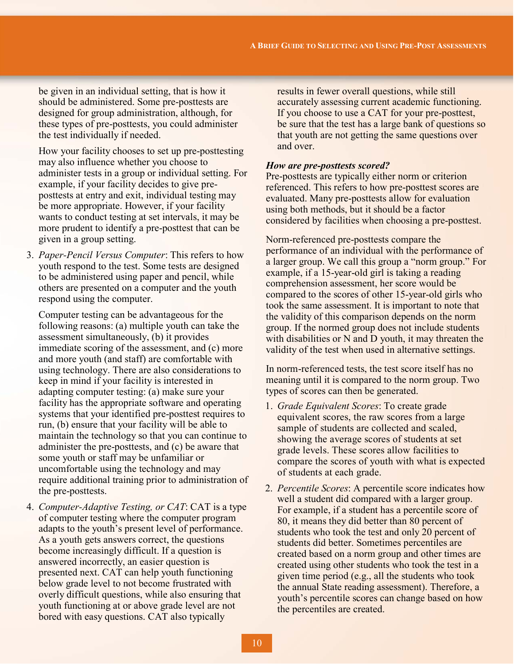be given in an individual setting, that is how it should be administered. Some pre-posttests are designed for group administration, although, for these types of pre-posttests, you could administer the test individually if needed.

How your facility chooses to set up pre-posttesting may also influence whether you choose to administer tests in a group or individual setting. For example, if your facility decides to give preposttests at entry and exit, individual testing may be more appropriate. However, if your facility wants to conduct testing at set intervals, it may be more prudent to identify a pre-posttest that can be given in a group setting.

3. *Paper-Pencil Versus Computer*: This refers to how youth respond to the test. Some tests are designed to be administered using paper and pencil, while others are presented on a computer and the youth respond using the computer.

Computer testing can be advantageous for the following reasons: (a) multiple youth can take the assessment simultaneously, (b) it provides immediate scoring of the assessment, and (c) more and more youth (and staff) are comfortable with using technology. There are also considerations to keep in mind if your facility is interested in adapting computer testing: (a) make sure your facility has the appropriate software and operating systems that your identified pre-posttest requires to run, (b) ensure that your facility will be able to maintain the technology so that you can continue to administer the pre-posttests, and (c) be aware that some youth or staff may be unfamiliar or uncomfortable using the technology and may require additional training prior to administration of the pre-posttests.

4. *Computer-Adaptive Testing, or CAT*: CAT is a type of computer testing where the computer program adapts to the youth's present level of performance. As a youth gets answers correct, the questions become increasingly difficult. If a question is answered incorrectly, an easier question is presented next. CAT can help youth functioning below grade level to not become frustrated with overly difficult questions, while also ensuring that youth functioning at or above grade level are not bored with easy questions. CAT also typically

results in fewer overall questions, while still accurately assessing current academic functioning. If you choose to use a CAT for your pre-posttest, be sure that the test has a large bank of questions so that youth are not getting the same questions over and over.

#### *How are pre-posttests scored?*

Pre-posttests are typically either norm or criterion referenced. This refers to how pre-posttest scores are evaluated. Many pre-posttests allow for evaluation using both methods, but it should be a factor considered by facilities when choosing a pre-posttest.

Norm-referenced pre-posttests compare the performance of an individual with the performance of a larger group. We call this group a "norm group." For example, if a 15-year-old girl is taking a reading comprehension assessment, her score would be compared to the scores of other 15-year-old girls who took the same assessment. It is important to note that the validity of this comparison depends on the norm group. If the normed group does not include students with disabilities or N and D youth, it may threaten the validity of the test when used in alternative settings.

In norm-referenced tests, the test score itself has no meaning until it is compared to the norm group. Two types of scores can then be generated.

- 1. *Grade Equivalent Scores*: To create grade equivalent scores, the raw scores from a large sample of students are collected and scaled, showing the average scores of students at set grade levels. These scores allow facilities to compare the scores of youth with what is expected of students at each grade.
- 2. *Percentile Scores*: A percentile score indicates how well a student did compared with a larger group. For example, if a student has a percentile score of 80, it means they did better than 80 percent of students who took the test and only 20 percent of students did better. Sometimes percentiles are created based on a norm group and other times are created using other students who took the test in a given time period (e.g., all the students who took the annual State reading assessment). Therefore, a youth's percentile scores can change based on how the percentiles are created.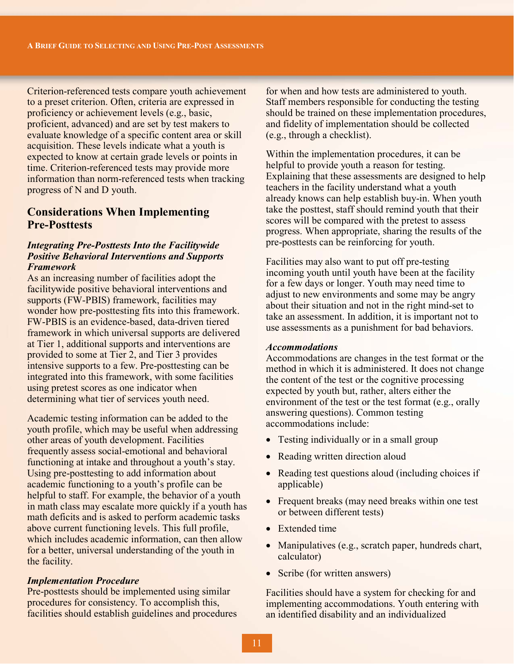Criterion-referenced tests compare youth achievement to a preset criterion. Often, criteria are expressed in proficiency or achievement levels (e.g., basic, proficient, advanced) and are set by test makers to evaluate knowledge of a specific content area or skill acquisition. These levels indicate what a youth is expected to know at certain grade levels or points in time. Criterion-referenced tests may provide more information than norm-referenced tests when tracking progress of N and D youth.

# **Considerations When Implementing Pre-Posttests**

## *Integrating Pre-Posttests Into the Facilitywide Positive Behavioral Interventions and Supports Framework*

As an increasing number of facilities adopt the facilitywide positive behavioral interventions and supports (FW-PBIS) framework, facilities may wonder how pre-posttesting fits into this framework. FW-PBIS is an evidence-based, data-driven tiered framework in which universal supports are delivered at Tier 1, additional supports and interventions are provided to some at Tier 2, and Tier 3 provides intensive supports to a few. Pre-posttesting can be integrated into this framework, with some facilities using pretest scores as one indicator when determining what tier of services youth need.

Academic testing information can be added to the youth profile, which may be useful when addressing other areas of youth development. Facilities frequently assess social-emotional and behavioral functioning at intake and throughout a youth's stay. Using pre-posttesting to add information about academic functioning to a youth's profile can be helpful to staff. For example, the behavior of a youth in math class may escalate more quickly if a youth has math deficits and is asked to perform academic tasks above current functioning levels. This full profile, which includes academic information, can then allow for a better, universal understanding of the youth in the facility.

#### *Implementation Procedure*

Pre-posttests should be implemented using similar procedures for consistency. To accomplish this, facilities should establish guidelines and procedures

for when and how tests are administered to youth. Staff members responsible for conducting the testing should be trained on these implementation procedures, and fidelity of implementation should be collected (e.g., through a checklist).

Within the implementation procedures, it can be helpful to provide youth a reason for testing. Explaining that these assessments are designed to help teachers in the facility understand what a youth already knows can help establish buy-in. When youth take the posttest, staff should remind youth that their scores will be compared with the pretest to assess progress. When appropriate, sharing the results of the pre-posttests can be reinforcing for youth.

Facilities may also want to put off pre-testing incoming youth until youth have been at the facility for a few days or longer. Youth may need time to adjust to new environments and some may be angry about their situation and not in the right mind-set to take an assessment. In addition, it is important not to use assessments as a punishment for bad behaviors.

#### *Accommodations*

Accommodations are changes in the test format or the method in which it is administered. It does not change the content of the test or the cognitive processing expected by youth but, rather, alters either the environment of the test or the test format (e.g., orally answering questions). Common testing accommodations include:

- Testing individually or in a small group
- Reading written direction aloud
- Reading test questions aloud (including choices if applicable)
- Frequent breaks (may need breaks within one test or between different tests)
- Extended time
- Manipulatives (e.g., scratch paper, hundreds chart, calculator)
- Scribe (for written answers)

Facilities should have a system for checking for and implementing accommodations. Youth entering with an identified disability and an individualized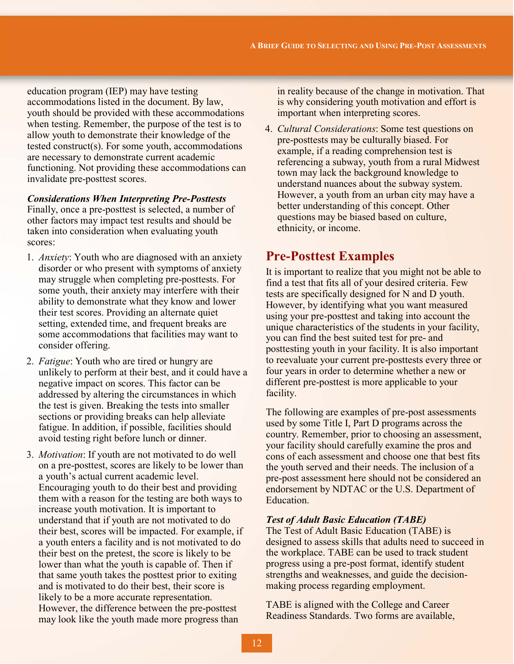education program (IEP) may have testing accommodations listed in the document. By law, youth should be provided with these accommodations when testing. Remember, the purpose of the test is to allow youth to demonstrate their knowledge of the tested construct(s). For some youth, accommodations are necessary to demonstrate current academic functioning. Not providing these accommodations can invalidate pre-posttest scores.

#### *Considerations When Interpreting Pre-Posttests*

Finally, once a pre-posttest is selected, a number of other factors may impact test results and should be taken into consideration when evaluating youth scores:

- 1. *Anxiety*: Youth who are diagnosed with an anxiety disorder or who present with symptoms of anxiety may struggle when completing pre-posttests. For some youth, their anxiety may interfere with their ability to demonstrate what they know and lower their test scores. Providing an alternate quiet setting, extended time, and frequent breaks are some accommodations that facilities may want to consider offering.
- 2. *Fatigue*: Youth who are tired or hungry are unlikely to perform at their best, and it could have a negative impact on scores. This factor can be addressed by altering the circumstances in which the test is given. Breaking the tests into smaller sections or providing breaks can help alleviate fatigue. In addition, if possible, facilities should avoid testing right before lunch or dinner.
- 3. *Motivation*: If youth are not motivated to do well on a pre-posttest, scores are likely to be lower than a youth's actual current academic level. Encouraging youth to do their best and providing them with a reason for the testing are both ways to increase youth motivation. It is important to understand that if youth are not motivated to do their best, scores will be impacted. For example, if a youth enters a facility and is not motivated to do their best on the pretest, the score is likely to be lower than what the youth is capable of. Then if that same youth takes the posttest prior to exiting and is motivated to do their best, their score is likely to be a more accurate representation. However, the difference between the pre-posttest may look like the youth made more progress than

in reality because of the change in motivation. That is why considering youth motivation and effort is important when interpreting scores.

4. *Cultural Considerations*: Some test questions on pre-posttests may be culturally biased. For example, if a reading comprehension test is referencing a subway, youth from a rural Midwest town may lack the background knowledge to understand nuances about the subway system. However, a youth from an urban city may have a better understanding of this concept. Other questions may be biased based on culture, ethnicity, or income.

# **Pre-Posttest Examples**

It is important to realize that you might not be able to find a test that fits all of your desired criteria. Few tests are specifically designed for N and D youth. However, by identifying what you want measured using your pre-posttest and taking into account the unique characteristics of the students in your facility, you can find the best suited test for pre- and posttesting youth in your facility. It is also important to reevaluate your current pre-posttests every three or four years in order to determine whether a new or different pre-posttest is more applicable to your facility.

The following are examples of pre-post assessments used by some Title I, Part D programs across the country. Remember, prior to choosing an assessment, your facility should carefully examine the pros and cons of each assessment and choose one that best fits the youth served and their needs. The inclusion of a pre-post assessment here should not be considered an endorsement by NDTAC or the U.S. Department of Education.

#### *Test of Adult Basic Education (TABE)*

The Test of Adult Basic Education (TABE) is designed to assess skills that adults need to succeed in the workplace. TABE can be used to track student progress using a pre-post format, identify student strengths and weaknesses, and guide the decisionmaking process regarding employment.

TABE is aligned with the College and Career Readiness Standards. Two forms are available,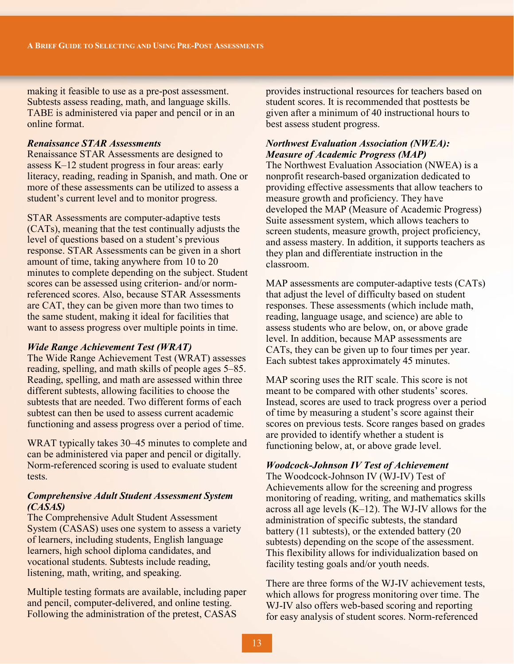making it feasible to use as a pre-post assessment. Subtests assess reading, math, and language skills. TABE is administered via paper and pencil or in an online format.

#### *Renaissance STAR Assessments*

Renaissance STAR Assessments are designed to assess K–12 student progress in four areas: early literacy, reading, reading in Spanish, and math. One or more of these assessments can be utilized to assess a student's current level and to monitor progress.

STAR Assessments are computer-adaptive tests (CATs), meaning that the test continually adjusts the level of questions based on a student's previous response. STAR Assessments can be given in a short amount of time, taking anywhere from 10 to 20 minutes to complete depending on the subject. Student scores can be assessed using criterion- and/or normreferenced scores. Also, because STAR Assessments are CAT, they can be given more than two times to the same student, making it ideal for facilities that want to assess progress over multiple points in time.

## *Wide Range Achievement Test (WRAT)*

The Wide Range Achievement Test (WRAT) assesses reading, spelling, and math skills of people ages 5–85. Reading, spelling, and math are assessed within three different subtests, allowing facilities to choose the subtests that are needed. Two different forms of each subtest can then be used to assess current academic functioning and assess progress over a period of time.

WRAT typically takes 30–45 minutes to complete and can be administered via paper and pencil or digitally. Norm-referenced scoring is used to evaluate student tests.

#### *Comprehensive Adult Student Assessment System (CASAS)*

The Comprehensive Adult Student Assessment System (CASAS) uses one system to assess a variety of learners, including students, English language learners, high school diploma candidates, and vocational students. Subtests include reading, listening, math, writing, and speaking.

Multiple testing formats are available, including paper and pencil, computer-delivered, and online testing. Following the administration of the pretest, CASAS

provides instructional resources for teachers based on student scores. It is recommended that posttests be given after a minimum of 40 instructional hours to best assess student progress.

## *Northwest Evaluation Association (NWEA): Measure of Academic Progress (MAP)*

The Northwest Evaluation Association (NWEA) is a nonprofit research-based organization dedicated to providing effective assessments that allow teachers to measure growth and proficiency. They have developed the MAP (Measure of Academic Progress) Suite assessment system, which allows teachers to screen students, measure growth, project proficiency, and assess mastery. In addition, it supports teachers as they plan and differentiate instruction in the classroom.

MAP assessments are computer-adaptive tests (CATs) that adjust the level of difficulty based on student responses. These assessments (which include math, reading, language usage, and science) are able to assess students who are below, on, or above grade level. In addition, because MAP assessments are CATs, they can be given up to four times per year. Each subtest takes approximately 45 minutes.

MAP scoring uses the RIT scale. This score is not meant to be compared with other students' scores. Instead, scores are used to track progress over a period of time by measuring a student's score against their scores on previous tests. Score ranges based on grades are provided to identify whether a student is functioning below, at, or above grade level.

## *Woodcock-Johnson IV Test of Achievement*

The Woodcock-Johnson IV (WJ-IV) Test of Achievements allow for the screening and progress monitoring of reading, writing, and mathematics skills across all age levels (K–12). The WJ-IV allows for the administration of specific subtests, the standard battery (11 subtests), or the extended battery (20 subtests) depending on the scope of the assessment. This flexibility allows for individualization based on facility testing goals and/or youth needs.

There are three forms of the WJ-IV achievement tests, which allows for progress monitoring over time. The WJ-IV also offers web-based scoring and reporting for easy analysis of student scores. Norm-referenced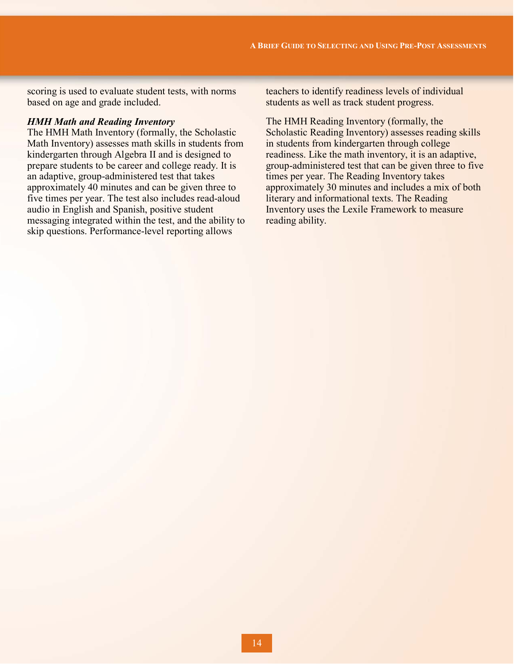scoring is used to evaluate student tests, with norms based on age and grade included.

#### *HMH Math and Reading Inventory*

The HMH Math Inventory (formally, the Scholastic Math Inventory) assesses math skills in students from kindergarten through Algebra II and is designed to prepare students to be career and college ready. It is an adaptive, group-administered test that takes approximately 40 minutes and can be given three to five times per year. The test also includes read-aloud audio in English and Spanish, positive student messaging integrated within the test, and the ability to skip questions. Performance-level reporting allows

teachers to identify readiness levels of individual students as well as track student progress.

The HMH Reading Inventory (formally, the Scholastic Reading Inventory) assesses reading skills in students from kindergarten through college readiness. Like the math inventory, it is an adaptive, group-administered test that can be given three to five times per year. The Reading Inventory takes approximately 30 minutes and includes a mix of both literary and informational texts. The Reading Inventory uses the Lexile Framework to measure reading ability.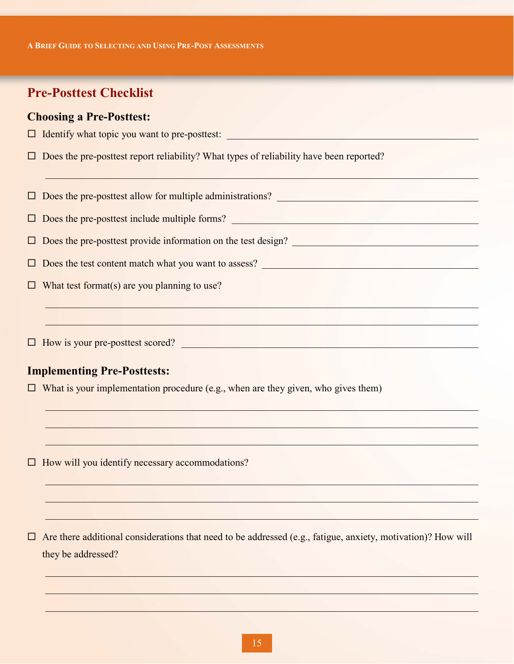**A BRIEF GUIDE TO SELECTING AND USING PRE-POST ASSESSMENTS**

# **Pre-Posttest Checklist**

# **Choosing a Pre-Posttest:**

|  |  | $\Box$ Identify what topic you want to pre-posttest: |  |  |
|--|--|------------------------------------------------------|--|--|
|  |  |                                                      |  |  |

 $\square$  Does the pre-posttest report reliability? What types of reliability have been reported?

 $\Box$  Does the pre-posttest allow for multiple administrations?  $\Box$ 

 $\Box$  , and an extended on the set of the set of the set of the set of the set of the set of the set of the set

 $\_$  ,  $\_$  ,  $\_$  ,  $\_$  ,  $\_$  ,  $\_$  ,  $\_$  ,  $\_$  ,  $\_$  ,  $\_$  ,  $\_$  ,  $\_$  ,  $\_$  ,  $\_$  ,  $\_$  ,  $\_$  ,  $\_$  ,  $\_$  ,  $\_$ 

 $\_$  . The set of the set of the set of the set of the set of the set of the set of the set of the set of the set of the set of the set of the set of the set of the set of the set of the set of the set of the set of the se

 $\Box_\bullet$  , and the set of the set of the set of the set of the set of the set of the set of the set of the set of the set of the set of the set of the set of the set of the set of the set of the set of the set of the set of

 $\Box$  , and the set of the set of the set of the set of the set of the set of the set of the set of the set of the set of the set of the set of the set of the set of the set of the set of the set of the set of the set of t

 $\_$  , and an excess of the set of the set of the set of the set of the set of the set of the set of the set of the set of the set of the set of the set of the set of the set of the set of the set of the set of the set of

 $\mathcal{L}_\mathcal{L} = \{ \mathcal{L}_\mathcal{L} = \{ \mathcal{L}_\mathcal{L}, \mathcal{L}_\mathcal{L}, \mathcal{L}_\mathcal{L}, \mathcal{L}_\mathcal{L}, \mathcal{L}_\mathcal{L}, \mathcal{L}_\mathcal{L}, \mathcal{L}_\mathcal{L}, \mathcal{L}_\mathcal{L}, \mathcal{L}_\mathcal{L}, \mathcal{L}_\mathcal{L}, \mathcal{L}_\mathcal{L}, \mathcal{L}_\mathcal{L}, \mathcal{L}_\mathcal{L}, \mathcal{L}_\mathcal{L}, \mathcal{L}_\mathcal{L}, \mathcal{L}_\mathcal{$ 

\_\_\_\_\_\_\_\_\_\_\_\_\_\_\_\_\_\_\_\_\_\_\_\_\_\_\_\_\_\_\_\_\_\_\_\_\_\_\_\_\_\_\_\_\_\_\_\_\_\_\_\_\_\_\_\_\_\_\_\_\_\_\_\_\_\_\_\_\_\_\_\_\_\_\_\_\_\_\_\_\_\_\_\_\_\_

\_\_\_\_\_\_\_\_\_\_\_\_\_\_\_\_\_\_\_\_\_\_\_\_\_\_\_\_\_\_\_\_\_\_\_\_\_\_\_\_\_\_\_\_\_\_\_\_\_\_\_\_\_\_\_\_\_\_\_\_\_\_\_\_\_\_\_\_\_\_\_\_\_\_\_\_\_\_\_\_\_\_\_\_\_\_

 $\mathcal{L}_\mathcal{L} = \{ \mathcal{L}_\mathcal{L} = \{ \mathcal{L}_\mathcal{L} = \{ \mathcal{L}_\mathcal{L} = \{ \mathcal{L}_\mathcal{L} = \{ \mathcal{L}_\mathcal{L} = \{ \mathcal{L}_\mathcal{L} = \{ \mathcal{L}_\mathcal{L} = \{ \mathcal{L}_\mathcal{L} = \{ \mathcal{L}_\mathcal{L} = \{ \mathcal{L}_\mathcal{L} = \{ \mathcal{L}_\mathcal{L} = \{ \mathcal{L}_\mathcal{L} = \{ \mathcal{L}_\mathcal{L} = \{ \mathcal{L}_\mathcal{$ 

 $\Box$  , and an extending the set of the set of the set of the set of the set of the set of the set of the set of the set of the set of the set of the set of the set of the set of the set of the set of the set of the set of

\_\_\_\_\_\_\_\_\_\_\_\_\_\_\_\_\_\_\_\_\_\_\_\_\_\_\_\_\_\_\_\_\_\_\_\_\_\_\_\_\_\_\_\_\_\_\_\_\_\_\_\_\_\_\_\_\_\_\_\_\_\_\_\_\_\_\_\_\_\_\_\_\_\_\_\_\_\_\_\_\_\_\_\_\_\_

 $\Box$  Does the pre-posttest include multiple forms?

 $\Box$  Does the pre-posttest provide information on the test design?  $\Box$ 

 $\Box$  Does the test content match what you want to assess?

 $\Box$  What test format(s) are you planning to use?

 $\Box$  How is your pre-posttest scored?

# **Implementing Pre-Posttests:**

 $\Box$  What is your implementation procedure (e.g., when are they given, who gives them)

 $\Box$  How will you identify necessary accommodations?

 $\Box$  Are there additional considerations that need to be addressed (e.g., fatigue, anxiety, motivation)? How will they be addressed?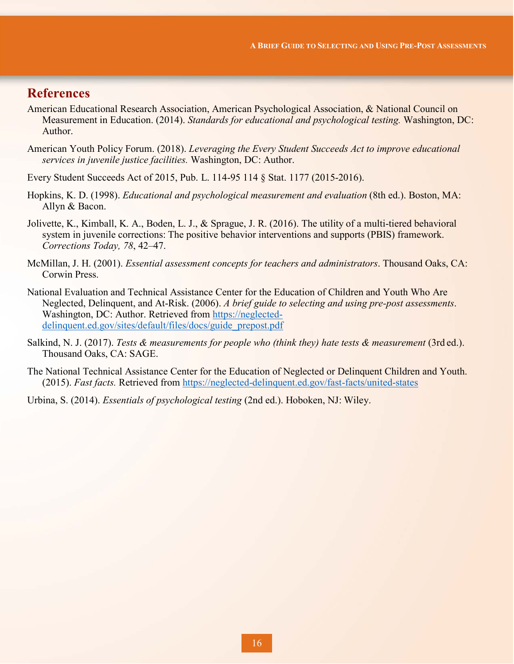# **References**

- American Educational Research Association, American Psychological Association, & National Council on Measurement in Education. (2014). *Standards for educational and psychological testing.* Washington, DC: Author.
- American Youth Policy Forum. (2018). *Leveraging the Every Student Succeeds Act to improve educational services in juvenile justice facilities.* Washington, DC: Author.
- Every Student Succeeds Act of 2015, Pub. L. 114-95 114 § Stat. 1177 (2015-2016).
- Hopkins, K. D. (1998). *Educational and psychological measurement and evaluation* (8th ed.). Boston, MA: Allyn & Bacon.
- Jolivette, K., Kimball, K. A., Boden, L. J., & Sprague, J. R. (2016). The utility of a multi-tiered behavioral system in juvenile corrections: The positive behavior interventions and supports (PBIS) framework. *Corrections Today, 78*, 42–47.
- McMillan, J. H. (2001). *Essential assessment concepts for teachers and administrators*. Thousand Oaks, CA: Corwin Press.
- National Evaluation and Technical Assistance Center for the Education of Children and Youth Who Are Neglected, Delinquent, and At-Risk. (2006). *A brief guide to selecting and using pre-post assessments*. Washington, DC: Author. Retrieved from [https://neglected](https://neglected-delinquent.ed.gov/sites/default/files/docs/guide_prepost.pdf)delinquent.ed.gov/sites/default/files/docs/guide\_prepost.pdf
- Salkind, N. J. (2017). *Tests & measurements for people who (think they) hate tests & measurement* (3rd ed.). Thousand Oaks, CA: SAGE.
- The National Technical Assistance Center for the Education of Neglected or Delinquent Children and Youth. (2015). *Fast facts.* Retrieved from<https://neglected-delinquent.ed.gov/fast-facts/united-states>
- Urbina, S. (2014). *Essentials of psychological testing* (2nd ed.). Hoboken, NJ: Wiley.